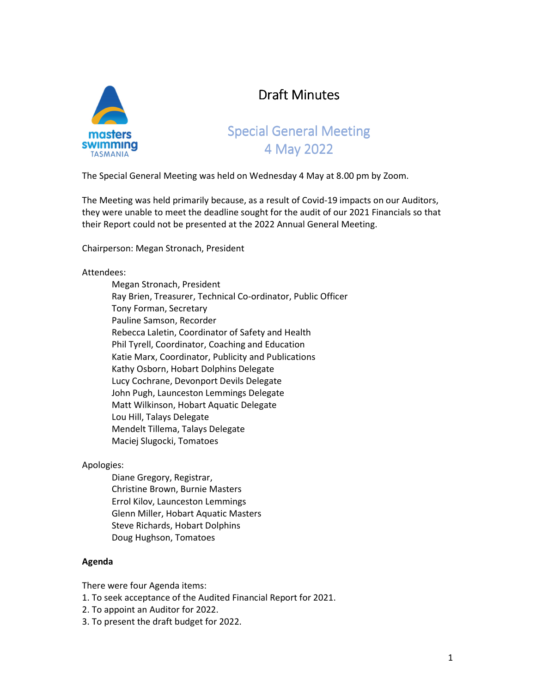

# Draft Minutes

# Special General Meeting 4 May 2022

The Special General Meeting was held on Wednesday 4 May at 8.00 pm by Zoom.

The Meeting was held primarily because, as a result of Covid-19 impacts on our Auditors, they were unable to meet the deadline sought for the audit of our 2021 Financials so that their Report could not be presented at the 2022 Annual General Meeting.

Chairperson: Megan Stronach, President

## Attendees:

 Megan Stronach, President Ray Brien, Treasurer, Technical Co-ordinator, Public Officer Tony Forman, Secretary Pauline Samson, Recorder Rebecca Laletin, Coordinator of Safety and Health Phil Tyrell, Coordinator, Coaching and Education Katie Marx, Coordinator, Publicity and Publications Kathy Osborn, Hobart Dolphins Delegate Lucy Cochrane, Devonport Devils Delegate John Pugh, Launceston Lemmings Delegate Matt Wilkinson, Hobart Aquatic Delegate Lou Hill, Talays Delegate Mendelt Tillema, Talays Delegate Maciej Slugocki, Tomatoes

### Apologies:

 Diane Gregory, Registrar, Christine Brown, Burnie Masters Errol Kilov, Launceston Lemmings Glenn Miller, Hobart Aquatic Masters Steve Richards, Hobart Dolphins Doug Hughson, Tomatoes

### **Agenda**

There were four Agenda items:

- 1. To seek acceptance of the Audited Financial Report for 2021.
- 2. To appoint an Auditor for 2022.
- 3. To present the draft budget for 2022.